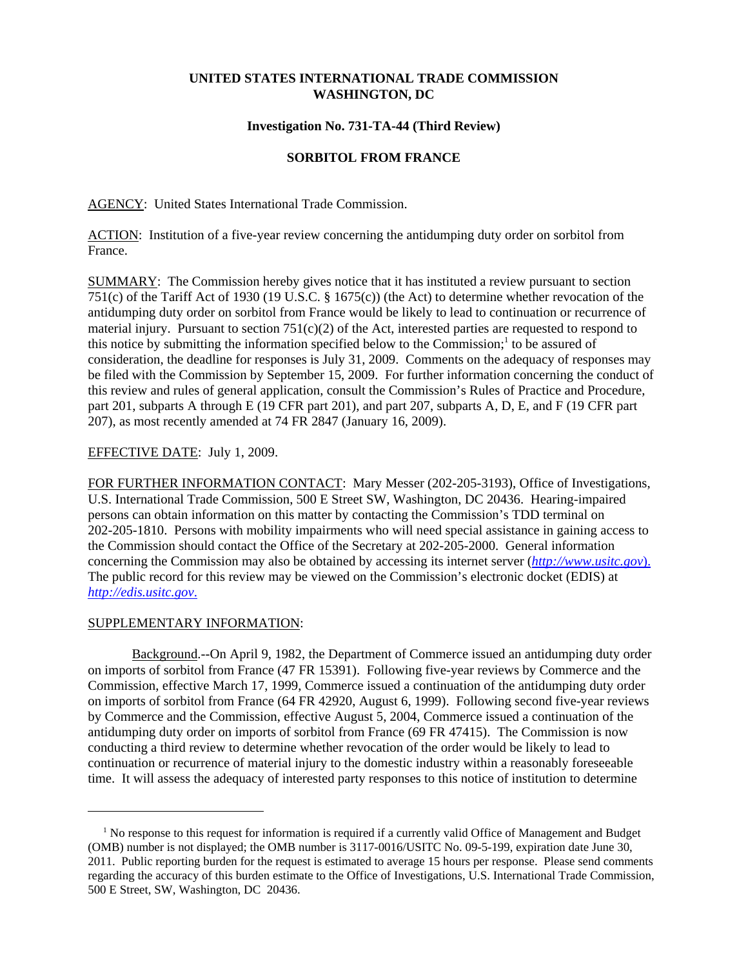### **UNITED STATES INTERNATIONAL TRADE COMMISSION WASHINGTON, DC**

#### **Investigation No. 731-TA-44 (Third Review)**

# **SORBITOL FROM FRANCE**

AGENCY: United States International Trade Commission.

ACTION: Institution of a five-year review concerning the antidumping duty order on sorbitol from France.

SUMMARY: The Commission hereby gives notice that it has instituted a review pursuant to section 751(c) of the Tariff Act of 1930 (19 U.S.C. § 1675(c)) (the Act) to determine whether revocation of the antidumping duty order on sorbitol from France would be likely to lead to continuation or recurrence of material injury. Pursuant to section  $751(c)(2)$  of the Act, interested parties are requested to respond to this notice by submitting the information specified below to the Commission;<sup>1</sup> to be assured of consideration, the deadline for responses is July 31, 2009. Comments on the adequacy of responses may be filed with the Commission by September 15, 2009. For further information concerning the conduct of this review and rules of general application, consult the Commission's Rules of Practice and Procedure, part 201, subparts A through E (19 CFR part 201), and part 207, subparts A, D, E, and F (19 CFR part 207), as most recently amended at 74 FR 2847 (January 16, 2009).

# EFFECTIVE DATE: July 1, 2009.

FOR FURTHER INFORMATION CONTACT: Mary Messer (202-205-3193), Office of Investigations, U.S. International Trade Commission, 500 E Street SW, Washington, DC 20436. Hearing-impaired persons can obtain information on this matter by contacting the Commission's TDD terminal on 202-205-1810. Persons with mobility impairments who will need special assistance in gaining access to the Commission should contact the Office of the Secretary at 202-205-2000. General information concerning the Commission may also be obtained by accessing its internet server (*http://www.usitc.gov*). The public record for this review may be viewed on the Commission's electronic docket (EDIS) at *http://edis.usitc.gov*.

#### SUPPLEMENTARY INFORMATION:

Background.--On April 9, 1982, the Department of Commerce issued an antidumping duty order on imports of sorbitol from France (47 FR 15391). Following five-year reviews by Commerce and the Commission, effective March 17, 1999, Commerce issued a continuation of the antidumping duty order on imports of sorbitol from France (64 FR 42920, August 6, 1999). Following second five-year reviews by Commerce and the Commission, effective August 5, 2004, Commerce issued a continuation of the antidumping duty order on imports of sorbitol from France (69 FR 47415). The Commission is now conducting a third review to determine whether revocation of the order would be likely to lead to continuation or recurrence of material injury to the domestic industry within a reasonably foreseeable time. It will assess the adequacy of interested party responses to this notice of institution to determine

<sup>&</sup>lt;sup>1</sup> No response to this request for information is required if a currently valid Office of Management and Budget (OMB) number is not displayed; the OMB number is 3117-0016/USITC No. 09-5-199, expiration date June 30, 2011. Public reporting burden for the request is estimated to average 15 hours per response. Please send comments regarding the accuracy of this burden estimate to the Office of Investigations, U.S. International Trade Commission, 500 E Street, SW, Washington, DC 20436.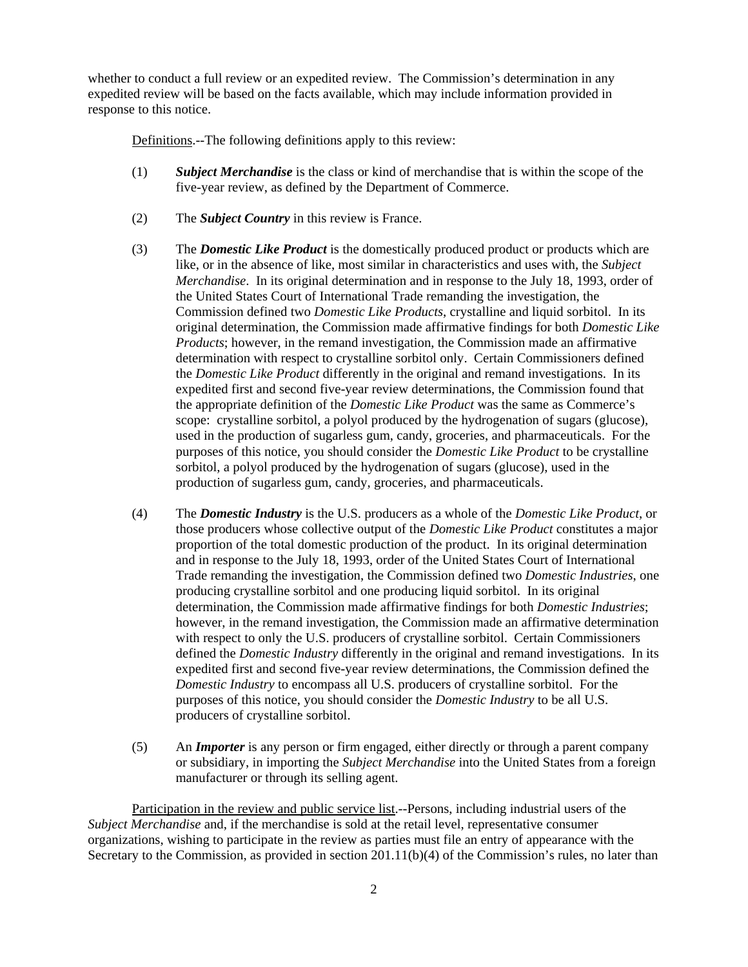whether to conduct a full review or an expedited review. The Commission's determination in any expedited review will be based on the facts available, which may include information provided in response to this notice.

Definitions.--The following definitions apply to this review:

- (1) *Subject Merchandise* is the class or kind of merchandise that is within the scope of the five-year review, as defined by the Department of Commerce.
- (2) The *Subject Country* in this review is France.
- (3) The *Domestic Like Product* is the domestically produced product or products which are like, or in the absence of like, most similar in characteristics and uses with, the *Subject Merchandise*. In its original determination and in response to the July 18, 1993, order of the United States Court of International Trade remanding the investigation, the Commission defined two *Domestic Like Products*, crystalline and liquid sorbitol. In its original determination, the Commission made affirmative findings for both *Domestic Like Products*; however, in the remand investigation, the Commission made an affirmative determination with respect to crystalline sorbitol only. Certain Commissioners defined the *Domestic Like Product* differently in the original and remand investigations. In its expedited first and second five-year review determinations, the Commission found that the appropriate definition of the *Domestic Like Product* was the same as Commerce's scope: crystalline sorbitol, a polyol produced by the hydrogenation of sugars (glucose), used in the production of sugarless gum, candy, groceries, and pharmaceuticals. For the purposes of this notice, you should consider the *Domestic Like Product* to be crystalline sorbitol, a polyol produced by the hydrogenation of sugars (glucose), used in the production of sugarless gum, candy, groceries, and pharmaceuticals.
- (4) The *Domestic Industry* is the U.S. producers as a whole of the *Domestic Like Product*, or those producers whose collective output of the *Domestic Like Product* constitutes a major proportion of the total domestic production of the product. In its original determination and in response to the July 18, 1993, order of the United States Court of International Trade remanding the investigation, the Commission defined two *Domestic Industries*, one producing crystalline sorbitol and one producing liquid sorbitol. In its original determination, the Commission made affirmative findings for both *Domestic Industries*; however, in the remand investigation, the Commission made an affirmative determination with respect to only the U.S. producers of crystalline sorbitol. Certain Commissioners defined the *Domestic Industry* differently in the original and remand investigations. In its expedited first and second five-year review determinations, the Commission defined the *Domestic Industry* to encompass all U.S. producers of crystalline sorbitol. For the purposes of this notice, you should consider the *Domestic Industry* to be all U.S. producers of crystalline sorbitol.
- (5) An *Importer* is any person or firm engaged, either directly or through a parent company or subsidiary, in importing the *Subject Merchandise* into the United States from a foreign manufacturer or through its selling agent.

Participation in the review and public service list.--Persons, including industrial users of the *Subject Merchandise* and, if the merchandise is sold at the retail level, representative consumer organizations, wishing to participate in the review as parties must file an entry of appearance with the Secretary to the Commission, as provided in section 201.11(b)(4) of the Commission's rules, no later than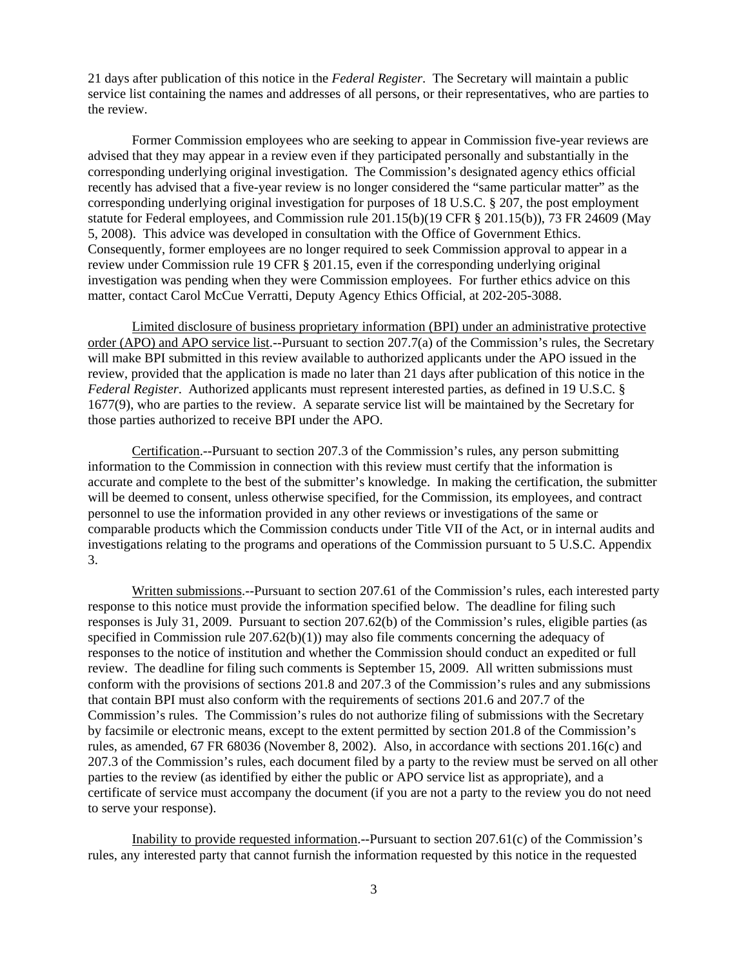21 days after publication of this notice in the *Federal Register*. The Secretary will maintain a public service list containing the names and addresses of all persons, or their representatives, who are parties to the review.

Former Commission employees who are seeking to appear in Commission five-year reviews are advised that they may appear in a review even if they participated personally and substantially in the corresponding underlying original investigation. The Commission's designated agency ethics official recently has advised that a five-year review is no longer considered the "same particular matter" as the corresponding underlying original investigation for purposes of 18 U.S.C. § 207, the post employment statute for Federal employees, and Commission rule 201.15(b)(19 CFR § 201.15(b)), 73 FR 24609 (May 5, 2008). This advice was developed in consultation with the Office of Government Ethics. Consequently, former employees are no longer required to seek Commission approval to appear in a review under Commission rule 19 CFR § 201.15, even if the corresponding underlying original investigation was pending when they were Commission employees. For further ethics advice on this matter, contact Carol McCue Verratti, Deputy Agency Ethics Official, at 202-205-3088.

Limited disclosure of business proprietary information (BPI) under an administrative protective order (APO) and APO service list.--Pursuant to section 207.7(a) of the Commission's rules, the Secretary will make BPI submitted in this review available to authorized applicants under the APO issued in the review, provided that the application is made no later than 21 days after publication of this notice in the *Federal Register*. Authorized applicants must represent interested parties, as defined in 19 U.S.C. § 1677(9), who are parties to the review. A separate service list will be maintained by the Secretary for those parties authorized to receive BPI under the APO.

Certification.--Pursuant to section 207.3 of the Commission's rules, any person submitting information to the Commission in connection with this review must certify that the information is accurate and complete to the best of the submitter's knowledge. In making the certification, the submitter will be deemed to consent, unless otherwise specified, for the Commission, its employees, and contract personnel to use the information provided in any other reviews or investigations of the same or comparable products which the Commission conducts under Title VII of the Act, or in internal audits and investigations relating to the programs and operations of the Commission pursuant to 5 U.S.C. Appendix 3.

Written submissions.--Pursuant to section 207.61 of the Commission's rules, each interested party response to this notice must provide the information specified below. The deadline for filing such responses is July 31, 2009. Pursuant to section 207.62(b) of the Commission's rules, eligible parties (as specified in Commission rule  $207.62(b)(1)$  may also file comments concerning the adequacy of responses to the notice of institution and whether the Commission should conduct an expedited or full review. The deadline for filing such comments is September 15, 2009. All written submissions must conform with the provisions of sections 201.8 and 207.3 of the Commission's rules and any submissions that contain BPI must also conform with the requirements of sections 201.6 and 207.7 of the Commission's rules. The Commission's rules do not authorize filing of submissions with the Secretary by facsimile or electronic means, except to the extent permitted by section 201.8 of the Commission's rules, as amended, 67 FR 68036 (November 8, 2002). Also, in accordance with sections 201.16(c) and 207.3 of the Commission's rules, each document filed by a party to the review must be served on all other parties to the review (as identified by either the public or APO service list as appropriate), and a certificate of service must accompany the document (if you are not a party to the review you do not need to serve your response).

Inability to provide requested information.--Pursuant to section 207.61(c) of the Commission's rules, any interested party that cannot furnish the information requested by this notice in the requested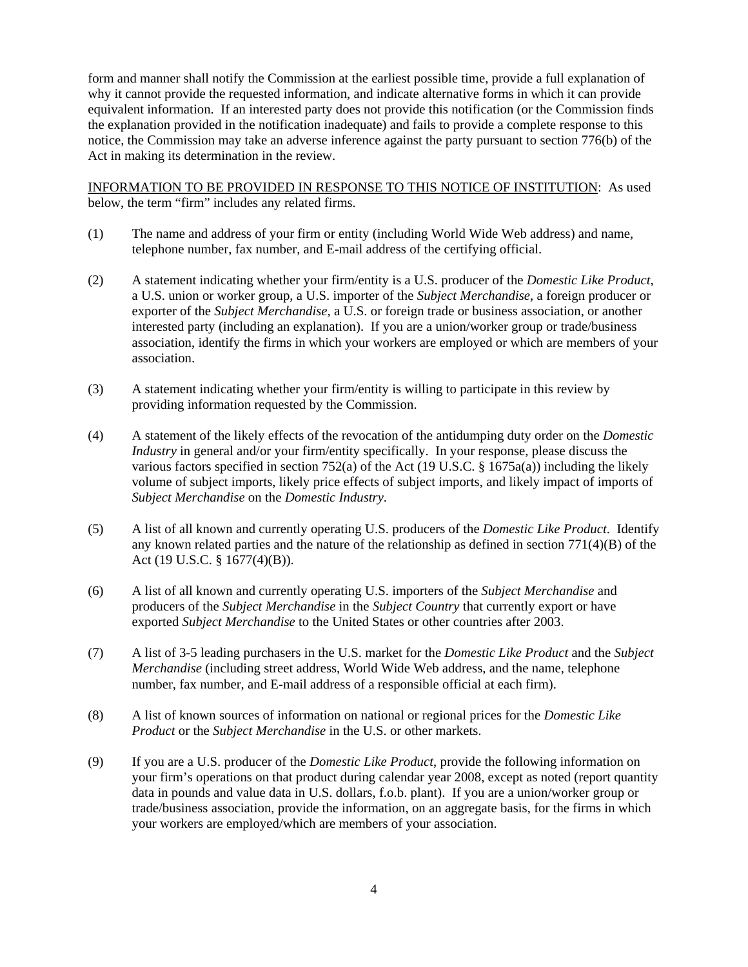form and manner shall notify the Commission at the earliest possible time, provide a full explanation of why it cannot provide the requested information, and indicate alternative forms in which it can provide equivalent information. If an interested party does not provide this notification (or the Commission finds the explanation provided in the notification inadequate) and fails to provide a complete response to this notice, the Commission may take an adverse inference against the party pursuant to section 776(b) of the Act in making its determination in the review.

INFORMATION TO BE PROVIDED IN RESPONSE TO THIS NOTICE OF INSTITUTION: As used below, the term "firm" includes any related firms.

- (1) The name and address of your firm or entity (including World Wide Web address) and name, telephone number, fax number, and E-mail address of the certifying official.
- (2) A statement indicating whether your firm/entity is a U.S. producer of the *Domestic Like Product*, a U.S. union or worker group, a U.S. importer of the *Subject Merchandise*, a foreign producer or exporter of the *Subject Merchandise*, a U.S. or foreign trade or business association, or another interested party (including an explanation). If you are a union/worker group or trade/business association, identify the firms in which your workers are employed or which are members of your association.
- (3) A statement indicating whether your firm/entity is willing to participate in this review by providing information requested by the Commission.
- (4) A statement of the likely effects of the revocation of the antidumping duty order on the *Domestic Industry* in general and/or your firm/entity specifically. In your response, please discuss the various factors specified in section 752(a) of the Act (19 U.S.C. § 1675a(a)) including the likely volume of subject imports, likely price effects of subject imports, and likely impact of imports of *Subject Merchandise* on the *Domestic Industry*.
- (5) A list of all known and currently operating U.S. producers of the *Domestic Like Product*. Identify any known related parties and the nature of the relationship as defined in section 771(4)(B) of the Act (19 U.S.C. § 1677(4)(B)).
- (6) A list of all known and currently operating U.S. importers of the *Subject Merchandise* and producers of the *Subject Merchandise* in the *Subject Country* that currently export or have exported *Subject Merchandise* to the United States or other countries after 2003.
- (7) A list of 3-5 leading purchasers in the U.S. market for the *Domestic Like Product* and the *Subject Merchandise* (including street address, World Wide Web address, and the name, telephone number, fax number, and E-mail address of a responsible official at each firm).
- (8) A list of known sources of information on national or regional prices for the *Domestic Like Product* or the *Subject Merchandise* in the U.S. or other markets.
- (9) If you are a U.S. producer of the *Domestic Like Product*, provide the following information on your firm's operations on that product during calendar year 2008, except as noted (report quantity data in pounds and value data in U.S. dollars, f.o.b. plant). If you are a union/worker group or trade/business association, provide the information, on an aggregate basis, for the firms in which your workers are employed/which are members of your association.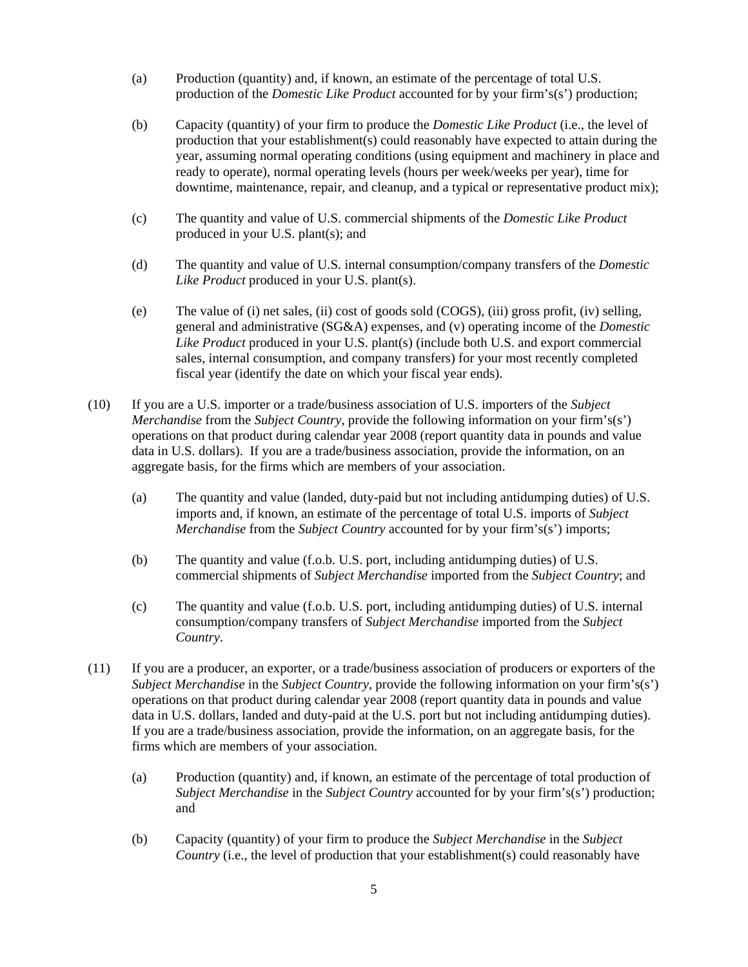- (a) Production (quantity) and, if known, an estimate of the percentage of total U.S. production of the *Domestic Like Product* accounted for by your firm's(s') production;
- (b) Capacity (quantity) of your firm to produce the *Domestic Like Product* (i.e., the level of production that your establishment(s) could reasonably have expected to attain during the year, assuming normal operating conditions (using equipment and machinery in place and ready to operate), normal operating levels (hours per week/weeks per year), time for downtime, maintenance, repair, and cleanup, and a typical or representative product mix);
- (c) The quantity and value of U.S. commercial shipments of the *Domestic Like Product* produced in your U.S. plant(s); and
- (d) The quantity and value of U.S. internal consumption/company transfers of the *Domestic Like Product* produced in your U.S. plant(s).
- (e) The value of (i) net sales, (ii) cost of goods sold (COGS), (iii) gross profit, (iv) selling, general and administrative (SG&A) expenses, and (v) operating income of the *Domestic Like Product* produced in your U.S. plant(s) (include both U.S. and export commercial sales, internal consumption, and company transfers) for your most recently completed fiscal year (identify the date on which your fiscal year ends).
- (10) If you are a U.S. importer or a trade/business association of U.S. importers of the *Subject Merchandise* from the *Subject Country*, provide the following information on your firm's(s') operations on that product during calendar year 2008 (report quantity data in pounds and value data in U.S. dollars). If you are a trade/business association, provide the information, on an aggregate basis, for the firms which are members of your association.
	- (a) The quantity and value (landed, duty-paid but not including antidumping duties) of U.S. imports and, if known, an estimate of the percentage of total U.S. imports of *Subject Merchandise* from the *Subject Country* accounted for by your firm's(s') imports;
	- (b) The quantity and value (f.o.b. U.S. port, including antidumping duties) of U.S. commercial shipments of *Subject Merchandise* imported from the *Subject Country*; and
	- (c) The quantity and value (f.o.b. U.S. port, including antidumping duties) of U.S. internal consumption/company transfers of *Subject Merchandise* imported from the *Subject Country*.
- (11) If you are a producer, an exporter, or a trade/business association of producers or exporters of the *Subject Merchandise* in the *Subject Country*, provide the following information on your firm's(s') operations on that product during calendar year 2008 (report quantity data in pounds and value data in U.S. dollars, landed and duty-paid at the U.S. port but not including antidumping duties). If you are a trade/business association, provide the information, on an aggregate basis, for the firms which are members of your association.
	- (a) Production (quantity) and, if known, an estimate of the percentage of total production of *Subject Merchandise* in the *Subject Country* accounted for by your firm's(s') production; and
	- (b) Capacity (quantity) of your firm to produce the *Subject Merchandise* in the *Subject Country* (i.e., the level of production that your establishment(s) could reasonably have